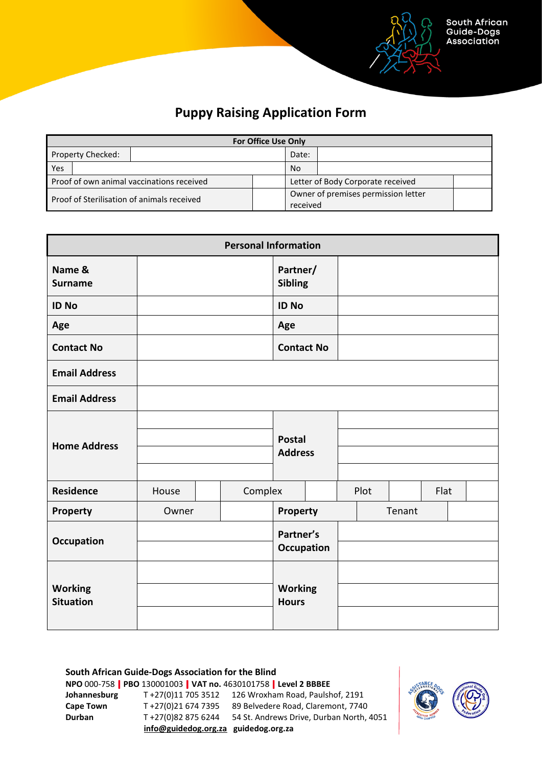

## **Puppy Raising Application Form**

| <b>For Office Use Only</b>                 |  |           |          |                                     |  |  |  |  |  |
|--------------------------------------------|--|-----------|----------|-------------------------------------|--|--|--|--|--|
| Property Checked:                          |  |           | Date:    |                                     |  |  |  |  |  |
| Yes                                        |  | <b>No</b> |          |                                     |  |  |  |  |  |
| Proof of own animal vaccinations received  |  |           |          | Letter of Body Corporate received   |  |  |  |  |  |
| Proof of Sterilisation of animals received |  |           |          | Owner of premises permission letter |  |  |  |  |  |
|                                            |  |           | received |                                     |  |  |  |  |  |

|                                    | <b>Personal Information</b> |         |                                 |  |      |        |      |  |  |  |  |
|------------------------------------|-----------------------------|---------|---------------------------------|--|------|--------|------|--|--|--|--|
| Name &<br><b>Surname</b>           |                             |         | Partner/<br><b>Sibling</b>      |  |      |        |      |  |  |  |  |
| <b>ID No</b>                       |                             |         | <b>ID No</b>                    |  |      |        |      |  |  |  |  |
| Age                                |                             |         | Age                             |  |      |        |      |  |  |  |  |
| <b>Contact No</b>                  |                             |         | <b>Contact No</b>               |  |      |        |      |  |  |  |  |
| <b>Email Address</b>               |                             |         |                                 |  |      |        |      |  |  |  |  |
| <b>Email Address</b>               |                             |         |                                 |  |      |        |      |  |  |  |  |
| <b>Home Address</b>                |                             |         | <b>Postal</b><br><b>Address</b> |  |      |        |      |  |  |  |  |
| <b>Residence</b>                   | House                       | Complex |                                 |  | Plot |        | Flat |  |  |  |  |
| <b>Property</b>                    | Owner                       |         | <b>Property</b>                 |  |      | Tenant |      |  |  |  |  |
| <b>Occupation</b>                  |                             |         | Partner's<br><b>Occupation</b>  |  |      |        |      |  |  |  |  |
| <b>Working</b><br><b>Situation</b> |                             |         | <b>Working</b><br><b>Hours</b>  |  |      |        |      |  |  |  |  |

**South African Guide-Dogs Association for the Blind NPO** 000-758 **PBO** 130001003 **VAT no.** 4630101758 **Level 2 BBBEE Johannesburg** T +27(0)11 705 3512 126 Wroxham Road, Paulshof, 2191 **Cape Town** T +27(0)21 674 7395 89 Belvedere Road, Claremont, 7740 **Durban** T +27(0)82 875 6244 54 St. Andrews Drive, Durban North, 4051 **[info@guidedog.org.za](mailto:info@guidedog.org.za) guidedog.org.za**

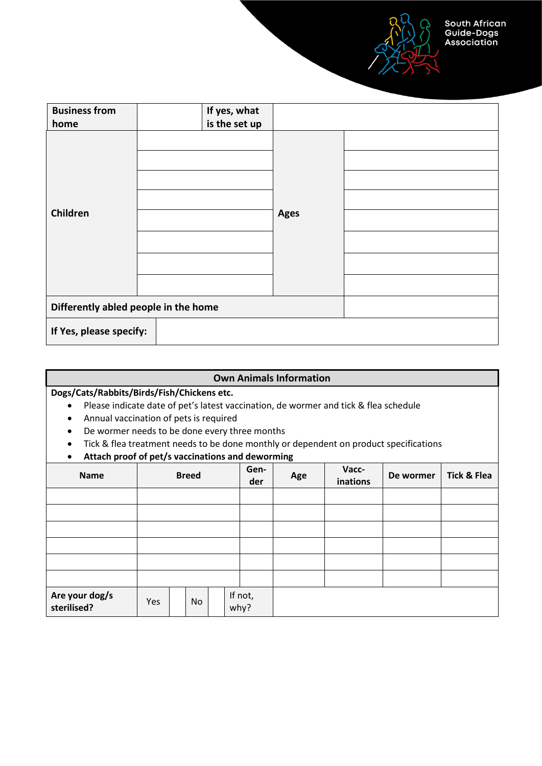South African<br>Guide-Dogs **Association** 

| <b>Business from</b><br>home         | If yes, what<br>is the set up |             |  |
|--------------------------------------|-------------------------------|-------------|--|
| Children                             |                               | <b>Ages</b> |  |
| Differently abled people in the home |                               |             |  |
| If Yes, please specify:              |                               |             |  |

## **Own Animals Information**

**Dogs/Cats/Rabbits/Birds/Fish/Chickens etc.**

- Please indicate date of pet's latest vaccination, de wormer and tick & flea schedule
- Annual vaccination of pets is required
- De wormer needs to be done every three months
- Tick & flea treatment needs to be done monthly or dependent on product specifications
- **Attach proof of pet/s vaccinations and deworming**

| <b>Name</b>                   | <b>Breed</b> |  |    | Gen-<br>der | ັ<br>Age | Vacc-<br>inations | De wormer | <b>Tick &amp; Flea</b> |  |  |
|-------------------------------|--------------|--|----|-------------|----------|-------------------|-----------|------------------------|--|--|
|                               |              |  |    |             |          |                   |           |                        |  |  |
|                               |              |  |    |             |          |                   |           |                        |  |  |
|                               |              |  |    |             |          |                   |           |                        |  |  |
|                               |              |  |    |             |          |                   |           |                        |  |  |
|                               |              |  |    |             |          |                   |           |                        |  |  |
|                               |              |  |    |             |          |                   |           |                        |  |  |
| Are your dog/s<br>sterilised? | Yes          |  | No |             |          | If not,<br>why?   |           |                        |  |  |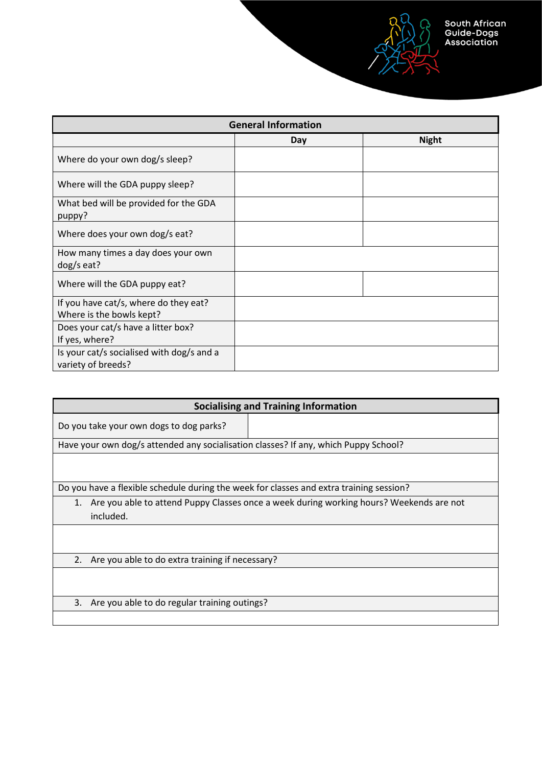

|                                                                   | <b>General Information</b> |              |
|-------------------------------------------------------------------|----------------------------|--------------|
|                                                                   | Day                        | <b>Night</b> |
| Where do your own dog/s sleep?                                    |                            |              |
| Where will the GDA puppy sleep?                                   |                            |              |
| What bed will be provided for the GDA<br>puppy?                   |                            |              |
| Where does your own dog/s eat?                                    |                            |              |
| How many times a day does your own<br>dog/s eat?                  |                            |              |
| Where will the GDA puppy eat?                                     |                            |              |
| If you have cat/s, where do they eat?<br>Where is the bowls kept? |                            |              |
| Does your cat/s have a litter box?<br>If yes, where?              |                            |              |
| Is your cat/s socialised with dog/s and a<br>variety of breeds?   |                            |              |

| <b>Socialising and Training Information</b>                                             |                                                                                         |  |  |  |  |  |  |  |  |
|-----------------------------------------------------------------------------------------|-----------------------------------------------------------------------------------------|--|--|--|--|--|--|--|--|
| Do you take your own dogs to dog parks?                                                 |                                                                                         |  |  |  |  |  |  |  |  |
| Have your own dog/s attended any socialisation classes? If any, which Puppy School?     |                                                                                         |  |  |  |  |  |  |  |  |
|                                                                                         |                                                                                         |  |  |  |  |  |  |  |  |
|                                                                                         |                                                                                         |  |  |  |  |  |  |  |  |
| Do you have a flexible schedule during the week for classes and extra training session? |                                                                                         |  |  |  |  |  |  |  |  |
| 1.                                                                                      | Are you able to attend Puppy Classes once a week during working hours? Weekends are not |  |  |  |  |  |  |  |  |
| included.                                                                               |                                                                                         |  |  |  |  |  |  |  |  |
|                                                                                         |                                                                                         |  |  |  |  |  |  |  |  |
|                                                                                         |                                                                                         |  |  |  |  |  |  |  |  |
| 2. Are you able to do extra training if necessary?                                      |                                                                                         |  |  |  |  |  |  |  |  |
|                                                                                         |                                                                                         |  |  |  |  |  |  |  |  |
|                                                                                         |                                                                                         |  |  |  |  |  |  |  |  |
| Are you able to do regular training outings?<br>3.                                      |                                                                                         |  |  |  |  |  |  |  |  |
|                                                                                         |                                                                                         |  |  |  |  |  |  |  |  |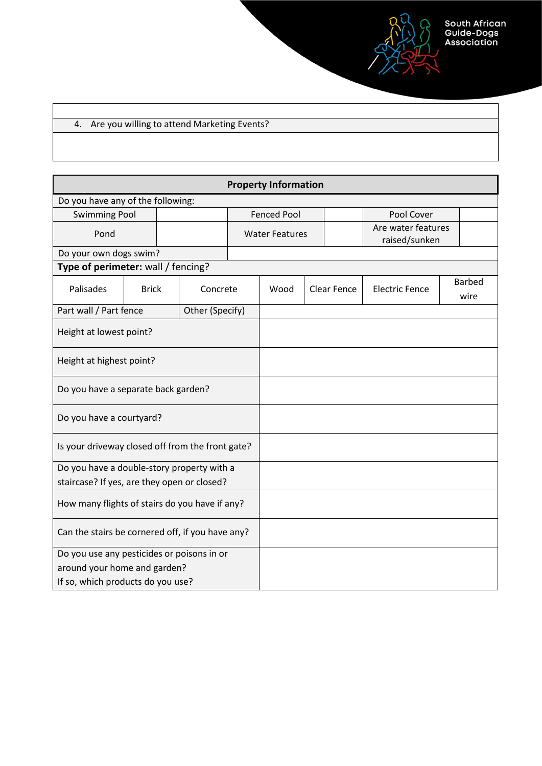## 4. Are you willing to attend Marketing Events?

| <b>Property Information</b>                      |              |                 |                    |      |                                                              |                    |                       |  |                       |  |
|--------------------------------------------------|--------------|-----------------|--------------------|------|--------------------------------------------------------------|--------------------|-----------------------|--|-----------------------|--|
| Do you have any of the following:                |              |                 |                    |      |                                                              |                    |                       |  |                       |  |
| <b>Swimming Pool</b>                             |              |                 | <b>Fenced Pool</b> |      |                                                              | Pool Cover         |                       |  |                       |  |
| Pond                                             |              |                 |                    |      | Are water features<br><b>Water Features</b><br>raised/sunken |                    |                       |  |                       |  |
| Do your own dogs swim?                           |              |                 |                    |      |                                                              |                    |                       |  |                       |  |
| Type of perimeter: wall / fencing?               |              |                 |                    |      |                                                              |                    |                       |  |                       |  |
| Palisades                                        | <b>Brick</b> | Concrete        |                    | Wood |                                                              | <b>Clear Fence</b> | <b>Electric Fence</b> |  | <b>Barbed</b><br>wire |  |
| Part wall / Part fence                           |              | Other (Specify) |                    |      |                                                              |                    |                       |  |                       |  |
| Height at lowest point?                          |              |                 |                    |      |                                                              |                    |                       |  |                       |  |
| Height at highest point?                         |              |                 |                    |      |                                                              |                    |                       |  |                       |  |
| Do you have a separate back garden?              |              |                 |                    |      |                                                              |                    |                       |  |                       |  |
| Do you have a courtyard?                         |              |                 |                    |      |                                                              |                    |                       |  |                       |  |
| Is your driveway closed off from the front gate? |              |                 |                    |      |                                                              |                    |                       |  |                       |  |
| Do you have a double-story property with a       |              |                 |                    |      |                                                              |                    |                       |  |                       |  |
| staircase? If yes, are they open or closed?      |              |                 |                    |      |                                                              |                    |                       |  |                       |  |
| How many flights of stairs do you have if any?   |              |                 |                    |      |                                                              |                    |                       |  |                       |  |
| Can the stairs be cornered off, if you have any? |              |                 |                    |      |                                                              |                    |                       |  |                       |  |
| Do you use any pesticides or poisons in or       |              |                 |                    |      |                                                              |                    |                       |  |                       |  |
| around your home and garden?                     |              |                 |                    |      |                                                              |                    |                       |  |                       |  |
| If so, which products do you use?                |              |                 |                    |      |                                                              |                    |                       |  |                       |  |

South African<br>Guide-Dogs<br>Association